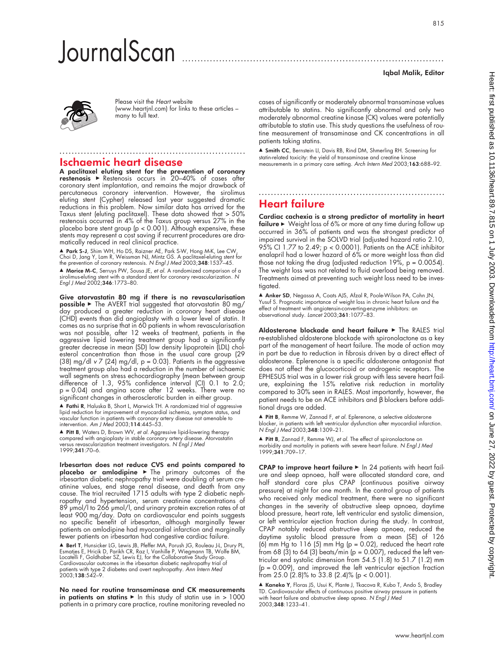# **JournalScan**

## Iqbal Malik, Editor



Please visit the Heart website (www.heartjnl.com) for links to these articles – many to full text.

## Ischaemic heart disease

A paclitaxel eluting stent for the prevention of coronary **restenosis ►** Restenosis occurs in 20–40% of cases after coronary stent implantation, and remains the major drawback of percutaneous coronary intervention. However, the sirolimus eluting stent (Cypher) released last year suggested dramatic reductions in this problem. Now similar data has arrived for the Taxus stent (eluting paclitaxel). These data showed that > 50% restenosis occurred in 4% of the Taxus group versus 27% in the placebo bare stent group (p < 0.001). Although expensive, these stents may represent a cost saving if recurrent procedures are dramatically reduced in real clinical practice.

.............................................................

▲ **Park S-J**, Shim WH, Ho DS, Raizner AE, Park S-W, Hong M-K, Lee CW,<br>Choi D, Jang Y, Lam R, Weissman NJ, Mintz GS. A paclitaxel-eluting stent for<br>the prevention of coronary restenosis. N *Engl J Med* 2003;**348**:1537–45.

▲ Morice M-C, Serruys PW, Sousa JE, et al. A randomized comparison of a sirolimus-eluting stent with a standard stent for coronary revascularization. N<br>Engl J Med 2002;**346**:1773–80.

Give atorvastatin 80 mg if there is no revascularisation  $\mathsf{possible}\blacktriangleright$  The AVERT trial suggested that atorvastatin 80 mg/ day produced a greater reduction in coronary heart disease (CHD) events than did angioplasty with a lower level of statin. It comes as no surprise that in 60 patients in whom revascularisation was not possible, after 12 weeks of treatment, patients in the aggressive lipid lowering treatment group had a significantly greater decrease in mean (SD) low density lipoprotein (LDL) cholesterol concentration than those in the usual care group (29 (38) mg/dl  $v$  7 (24) mg/dl,  $p = 0.03$ ). Patients in the aggressive treatment group also had a reduction in the number of ischaemic wall segments on stress echocardiography (mean between group difference of 1.3, 95% confidence interval (CI) 0.1 to 2.0; p = 0.04) and angina score after 12 weeks. There were no significant changes in atherosclerotic burden in either group.

■ Fathi R, Haluska B, Short L, Marwick TH. A randomized trial of aggressive lipid reduction for improvement of myocardial ischemia, symptom status, and vascular function in patients with coronary artery disease not amenable to intervention. Am J Med 2003;114:445–53.

▲ Pitt B, Waters D, Brown WV, et al. Aggressive lipid-lowering therapy compared with angioplasty in stable coronary artery disease. Atorvastatin versus revascularization treatment investigators. N Engl J Med 1999;341:70–6.

Irbesartan does not reduce CVS end points compared to  $\mathsf{placebo}$  or amlodipine  $\blacktriangleright$  The primary outcomes of the irbesartan diabetic nephropathy trial were doubling of serum creatinine values, end stage renal disease, and death from any cause. The trial recruited 1715 adults with type 2 diabetic nephropathy and hypertension, serum creatinine concentrations of 89 µmol/l to 266 µmol/l, and urinary protein excretion rates of at least 900 mg/day. Data on cardiovascular end points suggests no specific benefit of irbesartan, although marginally fewer patients on amlodipine had myocardial infarction and marginally fewer patients on irbesartan had congestive cardiac failure.

▲ Berl T, Hunsicker LG, Lewis JB, Pfeffer MA, Porush JG, Rouleau J-L, Drury PL,<br>Esmatjes E, Hricik D, Parikh CR, Raz I, Vanhille P, Wiegmann TB, Wolfe BM,<br>Locatelli F, Goldhaber SZ, Lewis EJ, for the Collaborative Study G Cardiovascular outcomes in the irbesartan diabetic nephropathy trial of patients with type 2 diabetes and overt nephropathy. *Ann Intern Med*<br>2003;**138**:542–9.

No need for routine transaminase and CK measurements in patients on statins  $\blacktriangleright$  In this study of statin use in > 1000 patients in a primary care practice, routine monitoring revealed no

cases of significantly or moderately abnormal transaminase values attributable to statins. No significantly abnormal and only two moderately abnormal creatine kinase (CK) values were potentially attributable to statin use. This study questions the usefulness of routine measurement of transaminase and CK concentrations in all patients taking statins.

▲ Smith CC, Bernstein LI, Davis RB, Rind DM, Shmerling RH. Screening for statin-related toxicity: the yield of transaminase and creatine kinase measurements in a primary care setting. Arch Intern Med 2003;163:688–92.

.............................................................

## Heart failure

Cardiac cachexia is a strong predictor of mortality in heart failure  $\blacktriangleright$  Weight loss of 6% or more at any time during follow up occurred in 36% of patients and was the strongest predictor of impaired survival in the SOLVD trial (adjusted hazard ratio 2.10, 95% CI 1.77 to 2.49; p < 0.0001). Patients on the ACE inhibitor enalapril had a lower hazard of 6% or more weight loss than did those not taking the drug (adjusted reduction  $19\%$ , p = 0.0054). The weight loss was not related to fluid overload being removed. Treatments aimed at preventing such weight loss need to be investigated.

▲ Anker SD, Negassa A, Coats AJS, Afzal R, Poole-Wilson PA, Cohn JN, Yusuf S. Prognostic importance of weight loss in chronic heart failure and the effect of treatment with angiotensin-converting-enzyme inhibitors: an observational study. Lancet 2003;361:1077–83.

Aldosterone blockade and heart failure > The RALES trial re-established aldosterone blockade with spironolactone as a key part of the management of heart failure. The mode of action may in part be due to reduction in fibrosis driven by a direct effect of aldosterone. Eplerenone is a specific aldosterone antagonist that does not affect the glucocorticoid or androgenic receptors. The EPHESUS trial was in a lower risk group with less severe heart failure, explaining the 15% relative risk reduction in mortality compared to 30% seen in RALES. Most importantly, however, the patient needs to be on ACE inhibitors and β blockers before additional drugs are added.

 $\triangle$  Pitt B, Remme W, Zannad F, et al. Eplerenone, a selective aldosterone blocker, in patients with left ventricular dysfunction after myocardial infarction. N Engl J Med 2003;348:1309–21.

▲ **Pitt B**, Zannad F, Remme WJ, *et al*. The effect of spironolactone on<br>morbidity and mortality in patients with severe heart failure. N E*ngl J Med* 1999;341:709–17.

CPAP to improve heart failure  $\blacktriangleright$  In 24 patients with heart failure and sleep apnoea, half were allocated standard care, and half standard care plus CPAP (continuous positive airway pressure) at night for one month. In the control group of patients who received only medical treatment, there were no significant changes in the severity of obstructive sleep apnoea, daytime blood pressure, heart rate, left ventricular end systolic dimension, or left ventricular ejection fraction during the study. In contrast, CPAP notably reduced obstructive sleep apnoea, reduced the daytime systolic blood pressure from a mean (SE) of 126 (6) mm Hg to  $116$  (5) mm Hg (p = 0.02), reduced the heart rate from 68 (3) to 64 (3) beats/min ( $p = 0.007$ ), reduced the left ventricular end systolic dimension from 54.5 (1.8) to 51.7 (1.2) mm  $(p = 0.009)$ , and improved the left ventricular ejection fraction from  $25.0$  (2.8)% to  $33.8$  (2.4)% (p < 0.001).

■ Kaneko Y, Floras JS, Usui K, Plante J, Tkacova R, Kubo T, Ando S, Bradley TD. Cardiovascular effects of continuous positive airway pressure in patients with heart failure and obstructive sleep apnea. N Engl J Med 2003;348:1233–41.